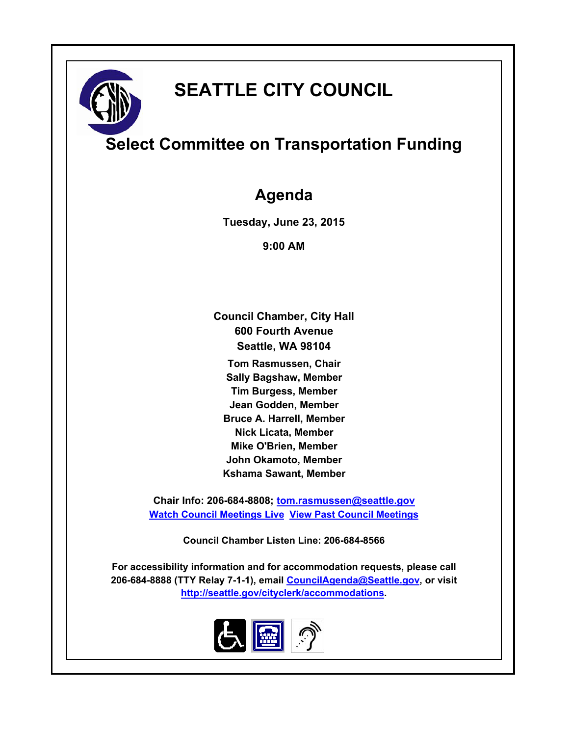# **SEATTLE CITY COUNCIL**

## **Select Committee on Transportation Funding**

### **Agenda**

**Tuesday, June 23, 2015**

**9:00 AM**

**Council Chamber, City Hall 600 Fourth Avenue Seattle, WA 98104**

**Tom Rasmussen, Chair Sally Bagshaw, Member Tim Burgess, Member Jean Godden, Member Bruce A. Harrell, Member Nick Licata, Member Mike O'Brien, Member John Okamoto, Member Kshama Sawant, Member**

**Chair Info: 206-684-8808; [tom.rasmussen@seattle.gov](mailto:tom.rasmussen@seattle.gov) [Watch Council Meetings Live](http://www.seattle.gov/council/councillive.htm) [View Past Council Meetings](http://www.seattlechannel.org/videos/browseVideos.asp?topic=council)**

**Council Chamber Listen Line: 206-684-8566**

**For accessibility information and for accommodation requests, please call 206-684-8888 (TTY Relay 7-1-1), email [CouncilAgenda@Seattle.gov](mailto:CouncilAgenda@Seattle.gov), or visit <http://seattle.gov/cityclerk/accommodations>.**

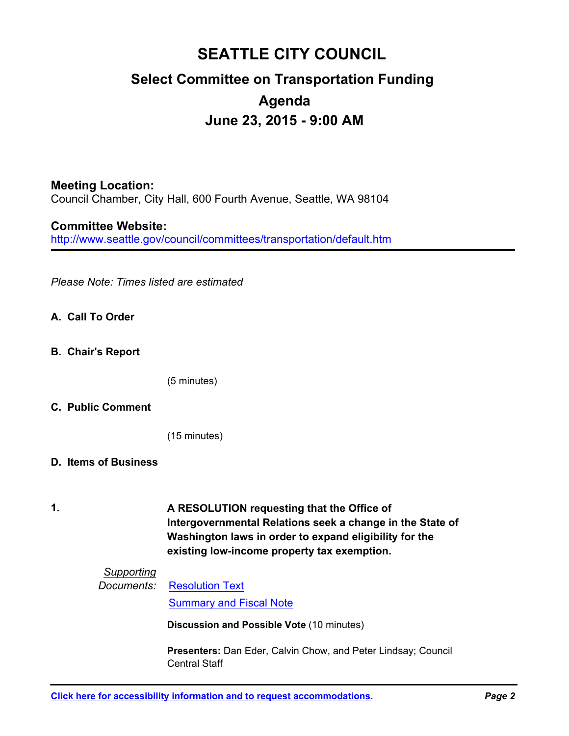### **SEATTLE CITY COUNCIL Select Committee on Transportation Funding Agenda June 23, 2015 - 9:00 AM**

#### **Meeting Location:**

Council Chamber, City Hall, 600 Fourth Avenue, Seattle, WA 98104

#### **Committee Website:**

http://www.seattle.gov/council/committees/transportation/default.htm

*Please Note: Times listed are estimated*

- **A. Call To Order**
- **B. Chair's Report**

(5 minutes)

#### **C. Public Comment**

(15 minutes)

- **D. Items of Business**
- **1.**

**A RESOLUTION requesting that the Office of Intergovernmental Relations seek a change in the State of Washington laws in order to expand eligibility for the existing low-income property tax exemption.**

#### *Supporting*

#### *Documents:* [Resolution Text](http://seattle.legistar.com/gateway.aspx?M=F&ID=8349b7aa-13ed-49d6-8ff4-dac698ca53be.docx) [Summary and Fiscal Note](http://seattle.legistar.com/gateway.aspx?M=F&ID=973dad7d-ebfb-460a-81db-f24c1ea52c70.docx)

**Discussion and Possible Vote** (10 minutes)

**Presenters:** Dan Eder, Calvin Chow, and Peter Lindsay; Council Central Staff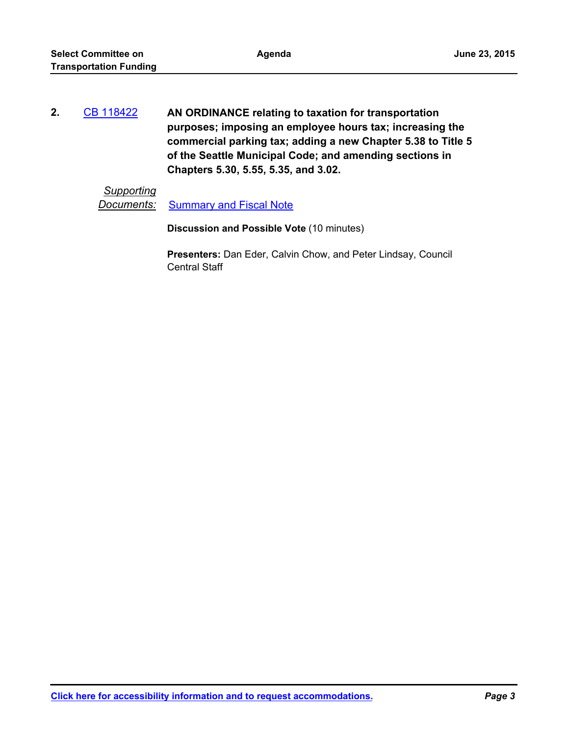| 2. | CB 118422 | AN ORDINANCE relating to taxation for transportation         |
|----|-----------|--------------------------------------------------------------|
|    |           | purposes; imposing an employee hours tax; increasing the     |
|    |           | commercial parking tax; adding a new Chapter 5.38 to Title 5 |
|    |           | of the Seattle Municipal Code; and amending sections in      |
|    |           | Chapters 5.30, 5.55, 5.35, and 3.02.                         |

### *Supporting*

**Documents:** [Summary and Fiscal Note](http://seattle.legistar.com/gateway.aspx?M=F&ID=e581ee87-c79d-4aa7-8d1c-189270bacf67.docx)

**Discussion and Possible Vote** (10 minutes)

**Presenters:** Dan Eder, Calvin Chow, and Peter Lindsay, Council Central Staff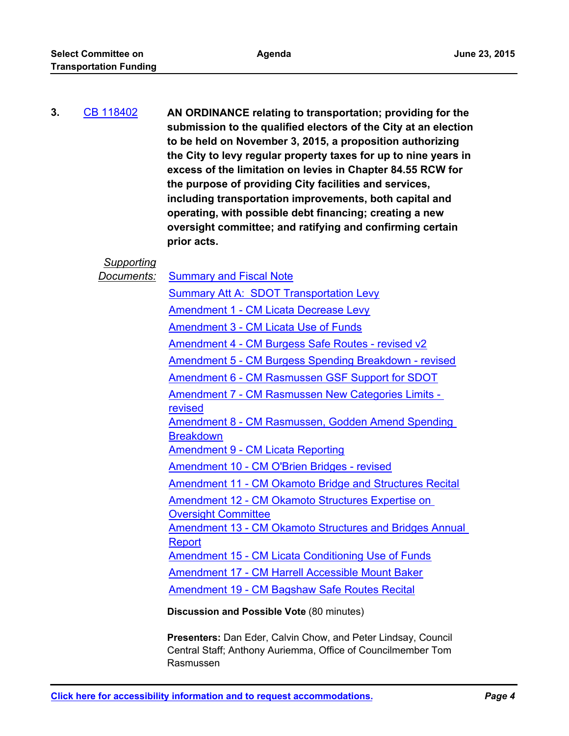### **AN ORDINANCE relating to transportation; providing for the submission to the qualified electors of the City at an election to be held on November 3, 2015, a proposition authorizing the City to levy regular property taxes for up to nine years in excess of the limitation on levies in Chapter 84.55 RCW for the purpose of providing City facilities and services, including transportation improvements, both capital and operating, with possible debt financing; creating a new oversight committee; and ratifying and confirming certain prior acts. 3.** [CB 118402](http://seattle.legistar.com/gateway.aspx?m=l&id=/matter.aspx?key=2359)

*Supporting Documents:* [Summary and Fiscal Note](http://seattle.legistar.com/gateway.aspx?M=F&ID=683865c2-5011-4ace-97aa-2f8cb28303cb.docx) [Summary Att A: SDOT Transportation Levy](http://seattle.legistar.com/gateway.aspx?M=F&ID=8f474117-dc0e-4a29-b528-4d01d85a2a5c.pdf) [Amendment 1 - CM Licata Decrease Levy](http://seattle.legistar.com/gateway.aspx?M=F&ID=664a786d-a78d-46a1-bcc7-ba7b0ffa4159.pdf) [Amendment 3 - CM Licata Use of Funds](http://seattle.legistar.com/gateway.aspx?M=F&ID=059df1cf-c7ff-45ba-91fb-5f7af089a563.pdf) [Amendment 4 - CM Burgess Safe Routes - revised v2](http://seattle.legistar.com/gateway.aspx?M=F&ID=945c6adf-23b8-4e27-a37f-32f0987f1765.pdf) [Amendment 5 - CM Burgess Spending Breakdown - revised](http://seattle.legistar.com/gateway.aspx?M=F&ID=4bdee011-4480-4a8c-8f1b-934acf3f40b4.pdf) [Amendment 6 - CM Rasmussen GSF Support for SDOT](http://seattle.legistar.com/gateway.aspx?M=F&ID=5e3bf6f5-bf5b-4199-a7d2-5e7edcc8625e.pdf) [Amendment 7 - CM Rasmussen New Categories Limits](http://seattle.legistar.com/gateway.aspx?M=F&ID=43295803-72ce-41a3-9934-41944daa9652.pdf)  revised [Amendment 8 - CM Rasmussen, Godden Amend Spending](http://seattle.legistar.com/gateway.aspx?M=F&ID=21a62723-e878-4c09-ab5a-64d204d65645.pdf)  **Breakdown** [Amendment 9 - CM Licata Reporting](http://seattle.legistar.com/gateway.aspx?M=F&ID=c535ac30-3ef3-4c62-8e6a-79bcd7d4d046.pdf) [Amendment 10 - CM O'Brien Bridges - revised](http://seattle.legistar.com/gateway.aspx?M=F&ID=cdd39716-34de-4a2b-96cc-e8da122a02b3.pdf) [Amendment 11 - CM Okamoto Bridge and Structures Recital](http://seattle.legistar.com/gateway.aspx?M=F&ID=037b142f-ed2f-4e2a-ba42-8efafdc45a16.pdf)

[Amendment 12 - CM Okamoto Structures Expertise on](http://seattle.legistar.com/gateway.aspx?M=F&ID=5b58beb5-a284-4726-a1aa-c2caec60f723.pdf)  **Oversight Committee** 

[Amendment 13 - CM Okamoto Structures and Bridges Annual](http://seattle.legistar.com/gateway.aspx?M=F&ID=ba5eb9e4-54be-4872-bb63-983ef3631897.pdf)  Report

[Amendment 15 - CM Licata Conditioning Use of Funds](http://seattle.legistar.com/gateway.aspx?M=F&ID=0580843e-176e-4bff-ae36-1114183d9113.pdf)

[Amendment 17 - CM Harrell Accessible Mount Baker](http://seattle.legistar.com/gateway.aspx?M=F&ID=2fb69c7a-dd26-45e3-8f34-b126f1b17d93.pdf)

[Amendment 19 - CM Bagshaw Safe Routes Recital](http://seattle.legistar.com/gateway.aspx?M=F&ID=831bdc96-1024-42a9-9297-5a7d8781748d.pdf)

**Discussion and Possible Vote** (80 minutes)

**Presenters:** Dan Eder, Calvin Chow, and Peter Lindsay, Council Central Staff; Anthony Auriemma, Office of Councilmember Tom Rasmussen